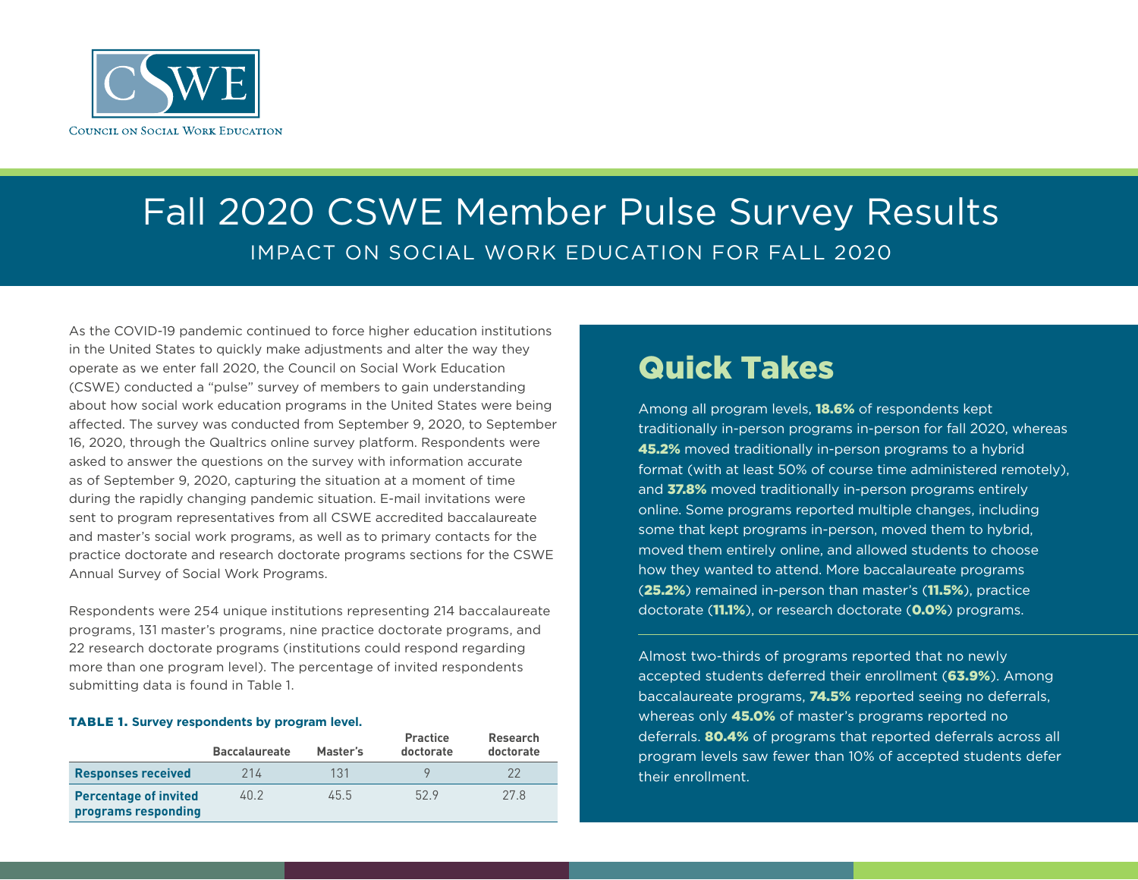

# Fall 2020 CSWE Member Pulse Survey Results IMPACT ON SOCIAL WORK EDUCATION FOR FALL 2020

As the COVID-19 pandemic continued to force higher education institutions in the United States to quickly make adjustments and alter the way they operate as we enter fall 2020, the Council on Social Work Education (CSWE) conducted a "pulse" survey of members to gain understanding about how social work education programs in the United States were being affected. The survey was conducted from September 9, 2020, to September 16, 2020, through the Qualtrics online survey platform. Respondents were asked to answer the questions on the survey with information accurate as of September 9, 2020, capturing the situation at a moment of time during the rapidly changing pandemic situation. E-mail invitations were sent to program representatives from all CSWE accredited baccalaureate and master's social work programs, as well as to primary contacts for the practice doctorate and research doctorate programs sections for the CSWE Annual Survey of Social Work Programs.

Respondents were 254 unique institutions representing 214 baccalaureate programs, 131 master's programs, nine practice doctorate programs, and 22 research doctorate programs (institutions could respond regarding more than one program level). The percentage of invited respondents submitting data is found in Table 1.

#### TABLE 1. **Survey respondents by program level.**

|                                                     | <b>Baccalaureate</b> | Master's | Practice<br>doctorate | Research<br>doctorate |
|-----------------------------------------------------|----------------------|----------|-----------------------|-----------------------|
| <b>Responses received</b>                           | 214                  | 131      |                       | 22                    |
| <b>Percentage of invited</b><br>programs responding | 40.2                 | 45.5     | 529                   | 27.8                  |

## Quick Takes

Among all program levels, **18.6%** of respondents kept traditionally in-person programs in-person for fall 2020, whereas 45.2% moved traditionally in-person programs to a hybrid format (with at least 50% of course time administered remotely), and 37.8% moved traditionally in-person programs entirely online. Some programs reported multiple changes, including some that kept programs in-person, moved them to hybrid, moved them entirely online, and allowed students to choose how they wanted to attend. More baccalaureate programs (25.2%) remained in-person than master's (11.5%), practice doctorate (11.1%), or research doctorate (0.0%) programs.

Almost two-thirds of programs reported that no newly accepted students deferred their enrollment (63.9%). Among baccalaureate programs, 74.5% reported seeing no deferrals, whereas only **45.0%** of master's programs reported no deferrals. 80.4% of programs that reported deferrals across all program levels saw fewer than 10% of accepted students defer their enrollment.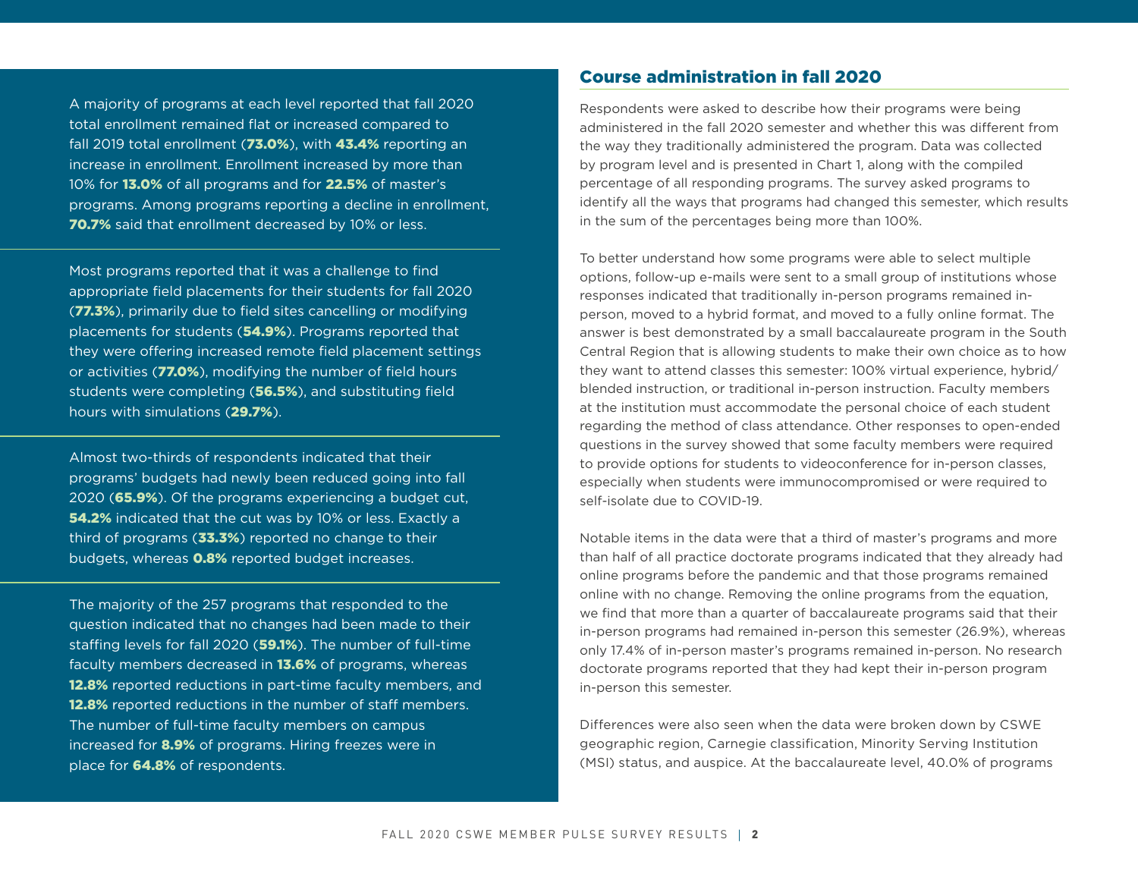A majority of programs at each level reported that fall 2020 total enrollment remained flat or increased compared to fall 2019 total enrollment (73.0%), with 43.4% reporting an increase in enrollment. Enrollment increased by more than 10% for 13.0% of all programs and for 22.5% of master's programs. Among programs reporting a decline in enrollment, 70.7% said that enrollment decreased by 10% or less.

Most programs reported that it was a challenge to find appropriate field placements for their students for fall 2020 (77.3%), primarily due to field sites cancelling or modifying placements for students (54.9%). Programs reported that they were offering increased remote field placement settings or activities (77.0%), modifying the number of field hours students were completing (56.5%), and substituting field hours with simulations (29.7%).

Almost two-thirds of respondents indicated that their programs' budgets had newly been reduced going into fall 2020 (65.9%). Of the programs experiencing a budget cut, **54.2%** indicated that the cut was by 10% or less. Exactly a third of programs  $(33.3%)$  reported no change to their budgets, whereas **0.8%** reported budget increases.

The majority of the 257 programs that responded to the question indicated that no changes had been made to their staffing levels for fall 2020 (59.1%). The number of full-time faculty members decreased in **13.6%** of programs, whereas 12.8% reported reductions in part-time faculty members, and **12.8%** reported reductions in the number of staff members. The number of full-time faculty members on campus increased for 8.9% of programs. Hiring freezes were in place for 64.8% of respondents.

### Course administration in fall 2020

Respondents were asked to describe how their programs were being administered in the fall 2020 semester and whether this was different from the way they traditionally administered the program. Data was collected by program level and is presented in Chart 1, along with the compiled percentage of all responding programs. The survey asked programs to identify all the ways that programs had changed this semester, which results in the sum of the percentages being more than 100%.

To better understand how some programs were able to select multiple options, follow-up e-mails were sent to a small group of institutions whose responses indicated that traditionally in-person programs remained inperson, moved to a hybrid format, and moved to a fully online format. The answer is best demonstrated by a small baccalaureate program in the South Central Region that is allowing students to make their own choice as to how they want to attend classes this semester: 100% virtual experience, hybrid/ blended instruction, or traditional in-person instruction. Faculty members at the institution must accommodate the personal choice of each student regarding the method of class attendance. Other responses to open-ended questions in the survey showed that some faculty members were required to provide options for students to videoconference for in-person classes, especially when students were immunocompromised or were required to self-isolate due to COVID-19.

Notable items in the data were that a third of master's programs and more than half of all practice doctorate programs indicated that they already had online programs before the pandemic and that those programs remained online with no change. Removing the online programs from the equation, we find that more than a quarter of baccalaureate programs said that their in-person programs had remained in-person this semester (26.9%), whereas only 17.4% of in-person master's programs remained in-person. No research doctorate programs reported that they had kept their in-person program in-person this semester.

Differences were also seen when the data were broken down by CSWE geographic region, Carnegie classification, Minority Serving Institution (MSI) status, and auspice. At the baccalaureate level, 40.0% of programs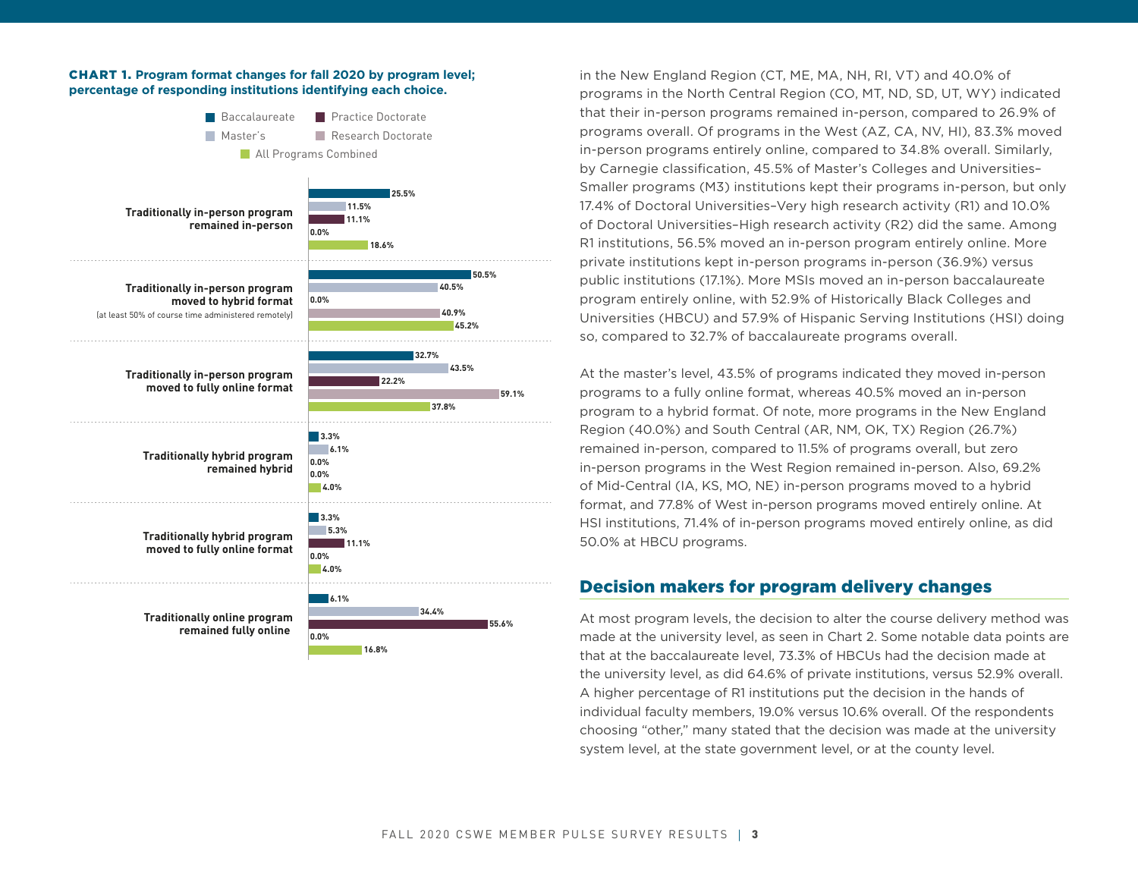#### CHART 1. **Program format changes for fall 2020 by program level; percentage of responding institutions identifying each choice.**



in the New England Region (CT, ME, MA, NH, RI, VT) and 40.0% of programs in the North Central Region (CO, MT, ND, SD, UT, WY) indicated that their in-person programs remained in-person, compared to 26.9% of programs overall. Of programs in the West (AZ, CA, NV, HI), 83.3% moved in-person programs entirely online, compared to 34.8% overall. Similarly, by Carnegie classification, 45.5% of Master's Colleges and Universities– Smaller programs (M3) institutions kept their programs in-person, but only 17.4% of Doctoral Universities–Very high research activity (R1) and 10.0% of Doctoral Universities–High research activity (R2) did the same. Among R1 institutions, 56.5% moved an in-person program entirely online. More private institutions kept in-person programs in-person (36.9%) versus public institutions (17.1%). More MSIs moved an in-person baccalaureate program entirely online, with 52.9% of Historically Black Colleges and Universities (HBCU) and 57.9% of Hispanic Serving Institutions (HSI) doing so, compared to 32.7% of baccalaureate programs overall.

At the master's level, 43.5% of programs indicated they moved in-person programs to a fully online format, whereas 40.5% moved an in-person program to a hybrid format. Of note, more programs in the New England Region (40.0%) and South Central (AR, NM, OK, TX) Region (26.7%) remained in-person, compared to 11.5% of programs overall, but zero in-person programs in the West Region remained in-person. Also, 69.2% of Mid-Central (IA, KS, MO, NE) in-person programs moved to a hybrid format, and 77.8% of West in-person programs moved entirely online. At HSI institutions, 71.4% of in-person programs moved entirely online, as did 50.0% at HBCU programs.

## Decision makers for program delivery changes

At most program levels, the decision to alter the course delivery method was made at the university level, as seen in Chart 2. Some notable data points are that at the baccalaureate level, 73.3% of HBCUs had the decision made at the university level, as did 64.6% of private institutions, versus 52.9% overall. A higher percentage of R1 institutions put the decision in the hands of individual faculty members, 19.0% versus 10.6% overall. Of the respondents choosing "other," many stated that the decision was made at the university system level, at the state government level, or at the county level.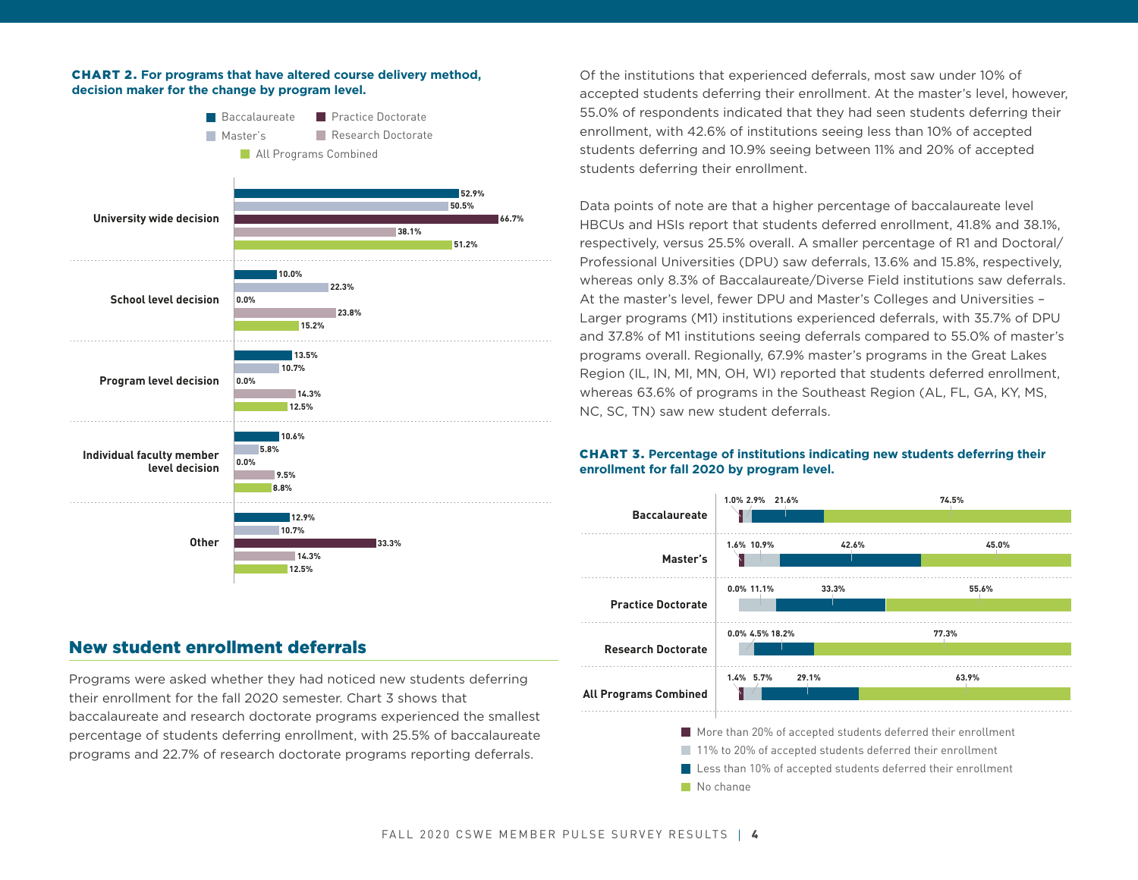#### CHART 2. **For programs that have altered course delivery method, decision maker for the change by program level.**



## New student enrollment deferrals

Programs were asked whether they had noticed new students deferring their enrollment for the fall 2020 semester. Chart 3 shows that baccalaureate and research doctorate programs experienced the smallest percentage of students deferring enrollment, with 25.5% of baccalaureate programs and 22.7% of research doctorate programs reporting deferrals.

Of the institutions that experienced deferrals, most saw under 10% of accepted students deferring their enrollment. At the master's level, however, 55.0% of respondents indicated that they had seen students deferring their enrollment, with 42.6% of institutions seeing less than 10% of accepted students deferring and 10.9% seeing between 11% and 20% of accepted students deferring their enrollment.

Data points of note are that a higher percentage of baccalaureate level HBCUs and HSIs report that students deferred enrollment, 41.8% and 38.1%, respectively, versus 25.5% overall. A smaller percentage of R1 and Doctoral/ Professional Universities (DPU) saw deferrals, 13.6% and 15.8%, respectively, whereas only 8.3% of Baccalaureate/Diverse Field institutions saw deferrals. At the master's level, fewer DPU and Master's Colleges and Universities – Larger programs (M1) institutions experienced deferrals, with 35.7% of DPU and 37.8% of M1 institutions seeing deferrals compared to 55.0% of master's programs overall. Regionally, 67.9% master's programs in the Great Lakes Region (IL, IN, MI, MN, OH, WI) reported that students deferred enrollment, whereas 63.6% of programs in the Southeast Region (AL, FL, GA, KY, MS, NC, SC, TN) saw new student deferrals.

#### CHART 3. **Percentage of institutions indicating new students deferring their enrollment for fall 2020 by program level.**



11% to 20% of accepted students deferred their enrollment

Less than 10% of accepted students deferred their enrollment

No change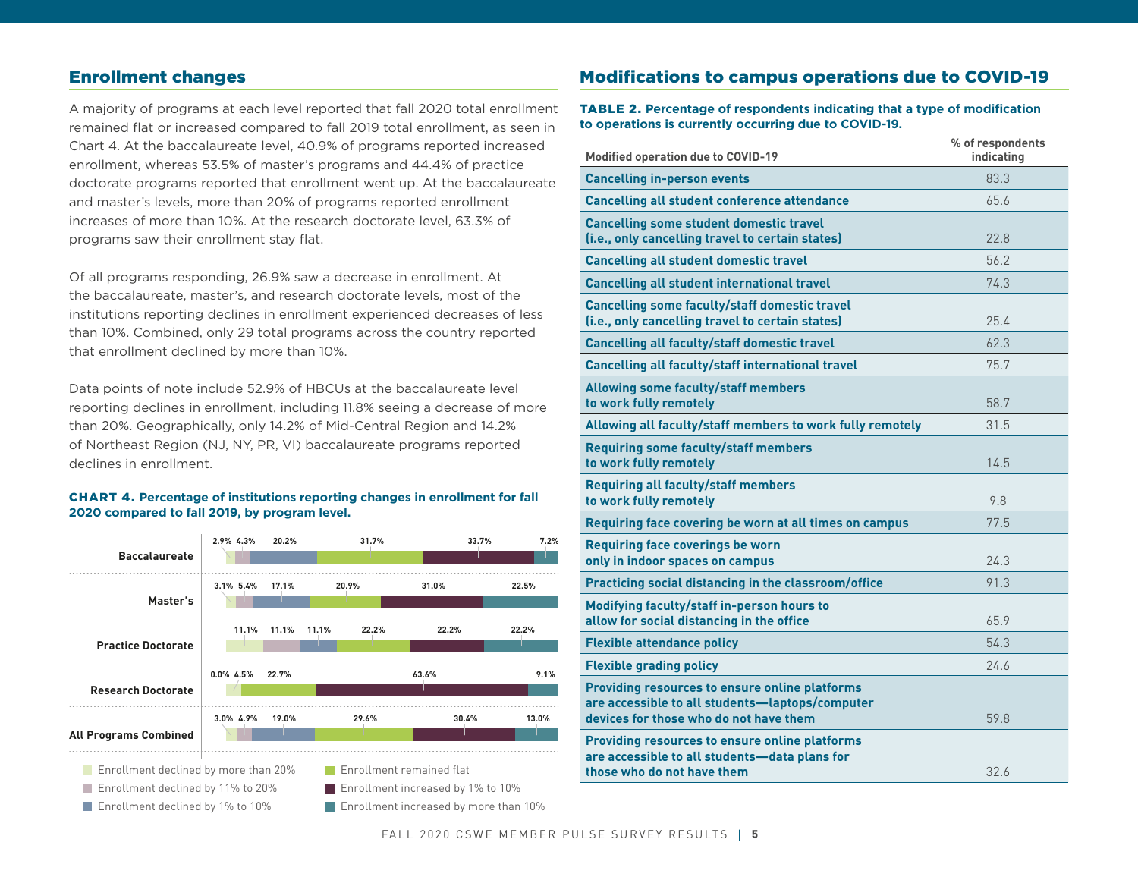## Enrollment changes

A majority of programs at each level reported that fall 2020 total enrollment remained flat or increased compared to fall 2019 total enrollment, as seen in Chart 4. At the baccalaureate level, 40.9% of programs reported increased enrollment, whereas 53.5% of master's programs and 44.4% of practice doctorate programs reported that enrollment went up. At the baccalaureate and master's levels, more than 20% of programs reported enrollment increases of more than 10%. At the research doctorate level, 63.3% of programs saw their enrollment stay flat.

Of all programs responding, 26.9% saw a decrease in enrollment. At the baccalaureate, master's, and research doctorate levels, most of the institutions reporting declines in enrollment experienced decreases of less than 10%. Combined, only 29 total programs across the country reported that enrollment declined by more than 10%.

Data points of note include 52.9% of HBCUs at the baccalaureate level reporting declines in enrollment, including 11.8% seeing a decrease of more than 20%. Geographically, only 14.2% of Mid-Central Region and 14.2% of Northeast Region (NJ, NY, PR, VI) baccalaureate programs reported declines in enrollment.

#### CHART 4. **Percentage of institutions reporting changes in enrollment for fall 2020 compared to fall 2019, by program level.**



**Enrollment increased by more than 10%** 

## Modifications to campus operations due to COVID-19

TABLE 2. **Percentage of respondents indicating that a type of modification to operations is currently occurring due to COVID-19.**

| <b>Modified operation due to COVID-19</b>                                                                                                          | % of respondents<br>indicating |
|----------------------------------------------------------------------------------------------------------------------------------------------------|--------------------------------|
| <b>Cancelling in-person events</b>                                                                                                                 | 83.3                           |
| <b>Cancelling all student conference attendance</b>                                                                                                | 65.6                           |
| <b>Cancelling some student domestic travel</b><br>(i.e., only cancelling travel to certain states)                                                 | 22.8                           |
| <b>Cancelling all student domestic travel</b>                                                                                                      | 56.2                           |
| <b>Cancelling all student international travel</b>                                                                                                 | 74.3                           |
| <b>Cancelling some faculty/staff domestic travel</b><br>(i.e., only cancelling travel to certain states)                                           | 25.4                           |
| <b>Cancelling all faculty/staff domestic travel</b>                                                                                                | 62.3                           |
| Cancelling all faculty/staff international travel                                                                                                  | 75.7                           |
| <b>Allowing some faculty/staff members</b><br>to work fully remotely                                                                               | 58.7                           |
| Allowing all faculty/staff members to work fully remotely                                                                                          | 31.5                           |
| <b>Requiring some faculty/staff members</b><br>to work fully remotely                                                                              | 14.5                           |
| <b>Requiring all faculty/staff members</b><br>to work fully remotely                                                                               | 9.8                            |
| Requiring face covering be worn at all times on campus                                                                                             | 77.5                           |
| <b>Requiring face coverings be worn</b><br>only in indoor spaces on campus                                                                         | 24.3                           |
| Practicing social distancing in the classroom/office                                                                                               | 91.3                           |
| Modifying faculty/staff in-person hours to<br>allow for social distancing in the office                                                            | 65.9                           |
| <b>Flexible attendance policy</b>                                                                                                                  | 54.3                           |
| <b>Flexible grading policy</b>                                                                                                                     | 24.6                           |
| <b>Providing resources to ensure online platforms</b><br>are accessible to all students-laptops/computer<br>devices for those who do not have them | 59.8                           |
| <b>Providing resources to ensure online platforms</b><br>are accessible to all students-data plans for                                             |                                |
| those who do not have them                                                                                                                         | 32.6                           |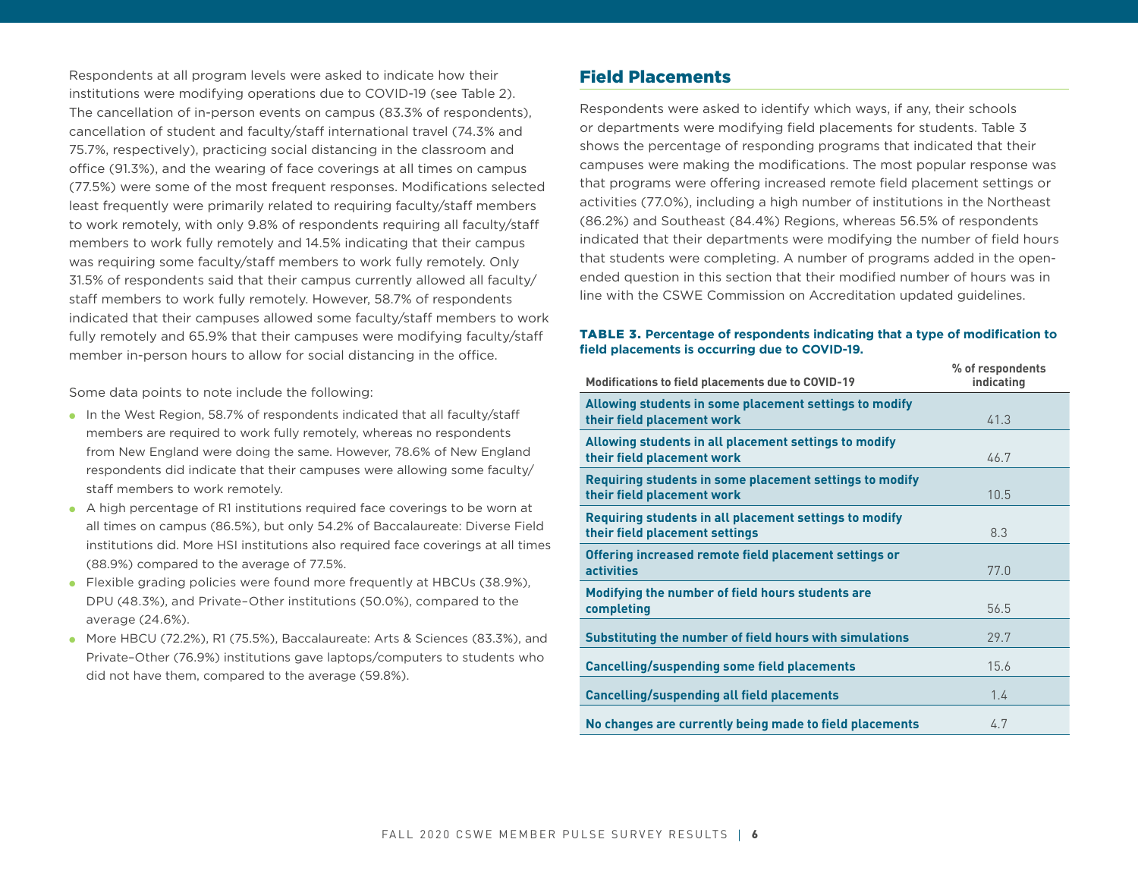Respondents at all program levels were asked to indicate how their institutions were modifying operations due to COVID-19 (see Table 2). The cancellation of in-person events on campus (83.3% of respondents), cancellation of student and faculty/staff international travel (74.3% and 75.7%, respectively), practicing social distancing in the classroom and office (91.3%), and the wearing of face coverings at all times on campus (77.5%) were some of the most frequent responses. Modifications selected least frequently were primarily related to requiring faculty/staff members to work remotely, with only 9.8% of respondents requiring all faculty/staff members to work fully remotely and 14.5% indicating that their campus was requiring some faculty/staff members to work fully remotely. Only 31.5% of respondents said that their campus currently allowed all faculty/ staff members to work fully remotely. However, 58.7% of respondents indicated that their campuses allowed some faculty/staff members to work fully remotely and 65.9% that their campuses were modifying faculty/staff member in-person hours to allow for social distancing in the office.

Some data points to note include the following:

- In the West Region, 58.7% of respondents indicated that all faculty/staff members are required to work fully remotely, whereas no respondents from New England were doing the same. However, 78.6% of New England respondents did indicate that their campuses were allowing some faculty/ staff members to work remotely.
- A high percentage of R1 institutions required face coverings to be worn at all times on campus (86.5%), but only 54.2% of Baccalaureate: Diverse Field institutions did. More HSI institutions also required face coverings at all times (88.9%) compared to the average of 77.5%.
- Flexible grading policies were found more frequently at HBCUs (38.9%), DPU (48.3%), and Private–Other institutions (50.0%), compared to the average (24.6%).
- More HBCU (72.2%), R1 (75.5%), Baccalaureate: Arts & Sciences (83.3%), and Private–Other (76.9%) institutions gave laptops/computers to students who did not have them, compared to the average (59.8%).

## Field Placements

Respondents were asked to identify which ways, if any, their schools or departments were modifying field placements for students. Table 3 shows the percentage of responding programs that indicated that their campuses were making the modifications. The most popular response was that programs were offering increased remote field placement settings or activities (77.0%), including a high number of institutions in the Northeast (86.2%) and Southeast (84.4%) Regions, whereas 56.5% of respondents indicated that their departments were modifying the number of field hours that students were completing. A number of programs added in the openended question in this section that their modified number of hours was in line with the CSWE Commission on Accreditation updated guidelines.

#### TABLE 3. **Percentage of respondents indicating that a type of modification to field placements is occurring due to COVID-19.**

| <b>Modifications to field placements due to COVID-19</b>                                 | % of respondents<br>indicating |
|------------------------------------------------------------------------------------------|--------------------------------|
| Allowing students in some placement settings to modify<br>their field placement work     | 41.3                           |
| Allowing students in all placement settings to modify<br>their field placement work      | 46.7                           |
| Requiring students in some placement settings to modify<br>their field placement work    | 10.5                           |
| Requiring students in all placement settings to modify<br>their field placement settings | 8.3                            |
| Offering increased remote field placement settings or<br><b>activities</b>               | 77.0                           |
| Modifying the number of field hours students are<br>completing                           | 56.5                           |
| Substituting the number of field hours with simulations                                  | 29.7                           |
| <b>Cancelling/suspending some field placements</b>                                       | 15.6                           |
| <b>Cancelling/suspending all field placements</b>                                        | 1.4                            |
| No changes are currently being made to field placements                                  | 4.7                            |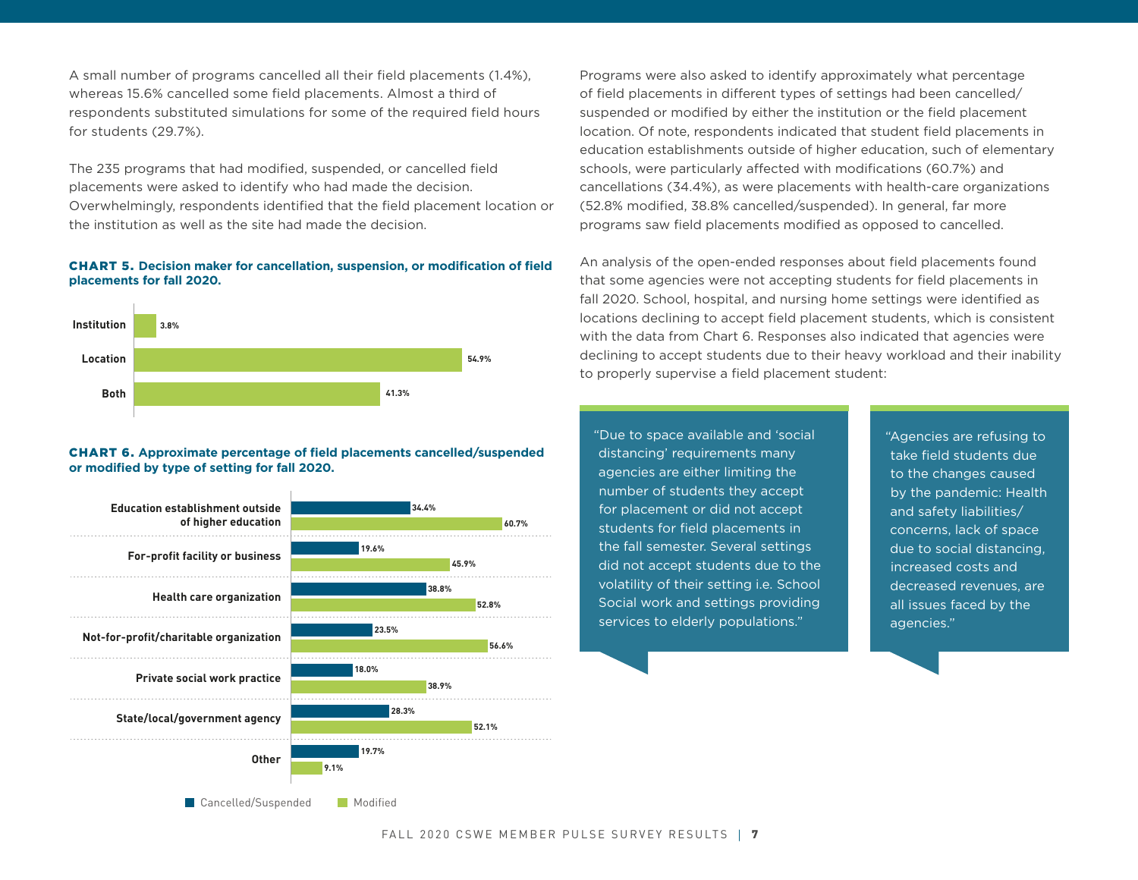A small number of programs cancelled all their field placements (1.4%), whereas 15.6% cancelled some field placements. Almost a third of respondents substituted simulations for some of the required field hours for students (29.7%).

The 235 programs that had modified, suspended, or cancelled field placements were asked to identify who had made the decision. Overwhelmingly, respondents identified that the field placement location or the institution as well as the site had made the decision.

#### CHART 5. **Decision maker for cancellation, suspension, or modification of field placements for fall 2020.**



#### CHART 6. **Approximate percentage of field placements cancelled/suspended or modified by type of setting for fall 2020.**



Programs were also asked to identify approximately what percentage of field placements in different types of settings had been cancelled/ suspended or modified by either the institution or the field placement location. Of note, respondents indicated that student field placements in education establishments outside of higher education, such of elementary schools, were particularly affected with modifications (60.7%) and cancellations (34.4%), as were placements with health-care organizations (52.8% modified, 38.8% cancelled/suspended). In general, far more programs saw field placements modified as opposed to cancelled.

An analysis of the open-ended responses about field placements found that some agencies were not accepting students for field placements in fall 2020. School, hospital, and nursing home settings were identified as locations declining to accept field placement students, which is consistent with the data from Chart 6. Responses also indicated that agencies were declining to accept students due to their heavy workload and their inability to properly supervise a field placement student:

"Due to space available and 'social distancing' requirements many agencies are either limiting the number of students they accept for placement or did not accept students for field placements in the fall semester. Several settings did not accept students due to the volatility of their setting i.e. School Social work and settings providing services to elderly populations."

"Agencies are refusing to take field students due to the changes caused by the pandemic: Health and safety liabilities/ concerns, lack of space due to social distancing, increased costs and decreased revenues, are all issues faced by the agencies."

**Cancelled/Suspended** Modified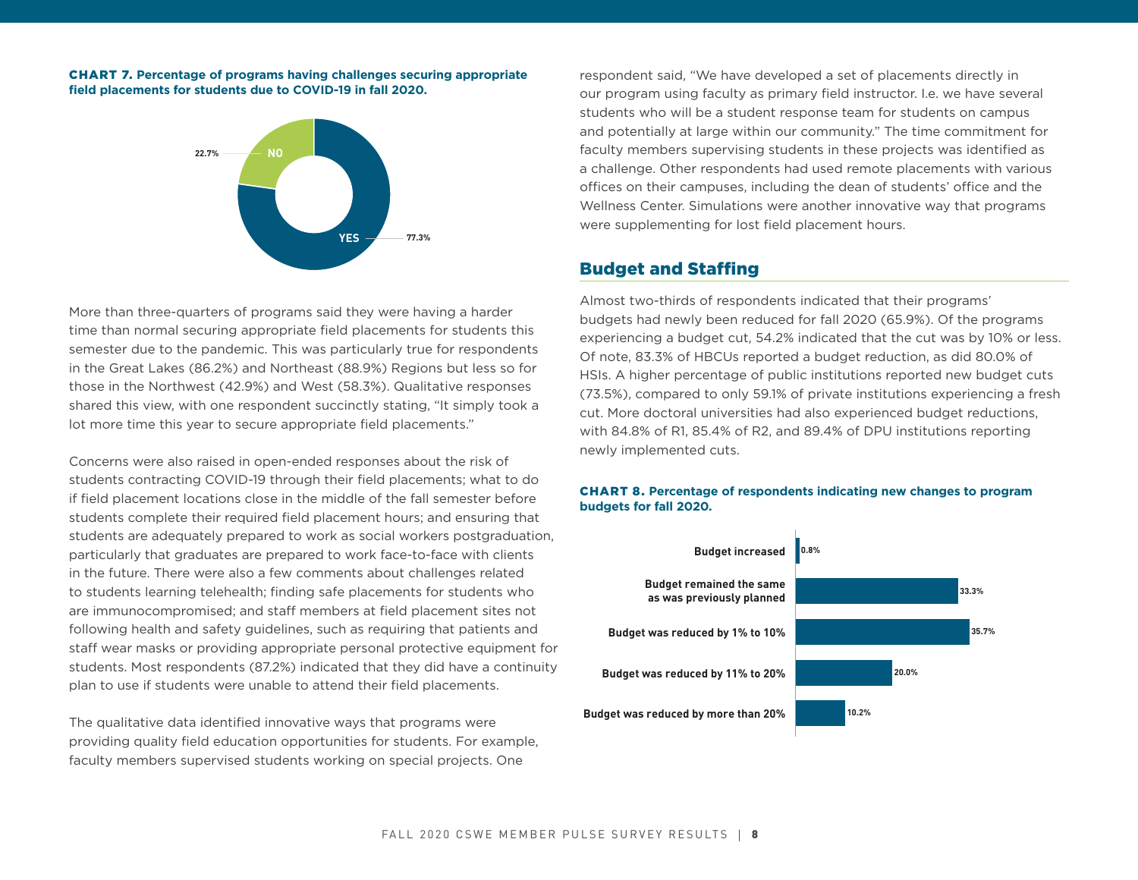CHART 7. **Percentage of programs having challenges securing appropriate field placements for students due to COVID-19 in fall 2020.**



More than three-quarters of programs said they were having a harder time than normal securing appropriate field placements for students this semester due to the pandemic. This was particularly true for respondents in the Great Lakes (86.2%) and Northeast (88.9%) Regions but less so for those in the Northwest (42.9%) and West (58.3%). Qualitative responses shared this view, with one respondent succinctly stating, "It simply took a lot more time this year to secure appropriate field placements."

Concerns were also raised in open-ended responses about the risk of students contracting COVID-19 through their field placements; what to do if field placement locations close in the middle of the fall semester before students complete their required field placement hours; and ensuring that students are adequately prepared to work as social workers postgraduation, particularly that graduates are prepared to work face-to-face with clients in the future. There were also a few comments about challenges related to students learning telehealth; finding safe placements for students who are immunocompromised; and staff members at field placement sites not following health and safety guidelines, such as requiring that patients and staff wear masks or providing appropriate personal protective equipment for students. Most respondents (87.2%) indicated that they did have a continuity plan to use if students were unable to attend their field placements.

The qualitative data identified innovative ways that programs were providing quality field education opportunities for students. For example, faculty members supervised students working on special projects. One

respondent said, "We have developed a set of placements directly in our program using faculty as primary field instructor. I.e. we have several students who will be a student response team for students on campus and potentially at large within our community." The time commitment for faculty members supervising students in these projects was identified as a challenge. Other respondents had used remote placements with various offices on their campuses, including the dean of students' office and the Wellness Center. Simulations were another innovative way that programs were supplementing for lost field placement hours.

## Budget and Staffing

Almost two-thirds of respondents indicated that their programs' budgets had newly been reduced for fall 2020 (65.9%). Of the programs experiencing a budget cut, 54.2% indicated that the cut was by 10% or less. Of note, 83.3% of HBCUs reported a budget reduction, as did 80.0% of HSIs. A higher percentage of public institutions reported new budget cuts (73.5%), compared to only 59.1% of private institutions experiencing a fresh cut. More doctoral universities had also experienced budget reductions, with 84.8% of R1, 85.4% of R2, and 89.4% of DPU institutions reporting newly implemented cuts.